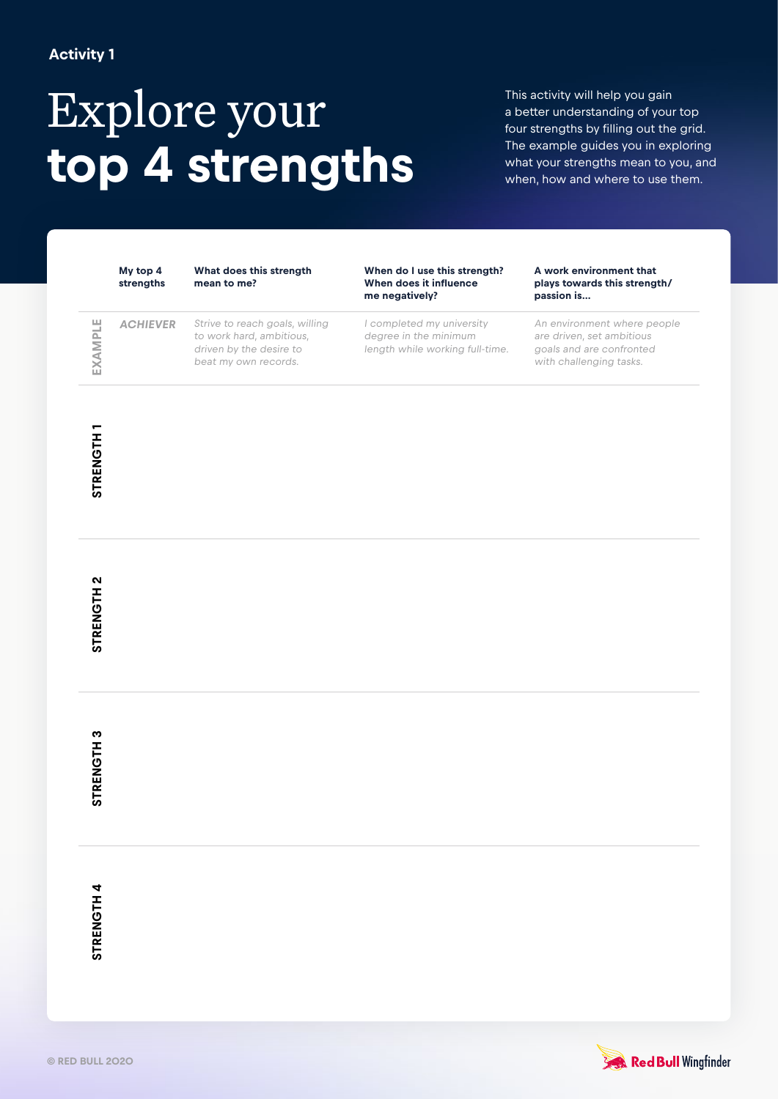## **Activity 1**

# Explore your **top 4 strengths**

This activity will help you gain a better understanding of your top four strengths by filling out the grid. The example guides you in exploring what your strengths mean to you, and when, how and where to use them.

**My top 4 strengths** **What does this strength mean to me?**

**When do I use this strength? When does it influence me negatively?**

 $\Box$ **EXAMPLE** EXAMPL

**ACHIEVER** Strive to reach goals, willing to work hard, ambitious, driven by the desire to beat my own records.

I completed my university degree in the minimum length while working full-time.

#### **A work environment that plays towards this strength/ passion is…**

An environment where people are driven, set ambitious goals and are confronted with challenging tasks.

**STRENGTH1 STRENGTH 1**

**STRENGTH 3 STRENGTH 3**

**STRENGTH4 STRENGTH 4**